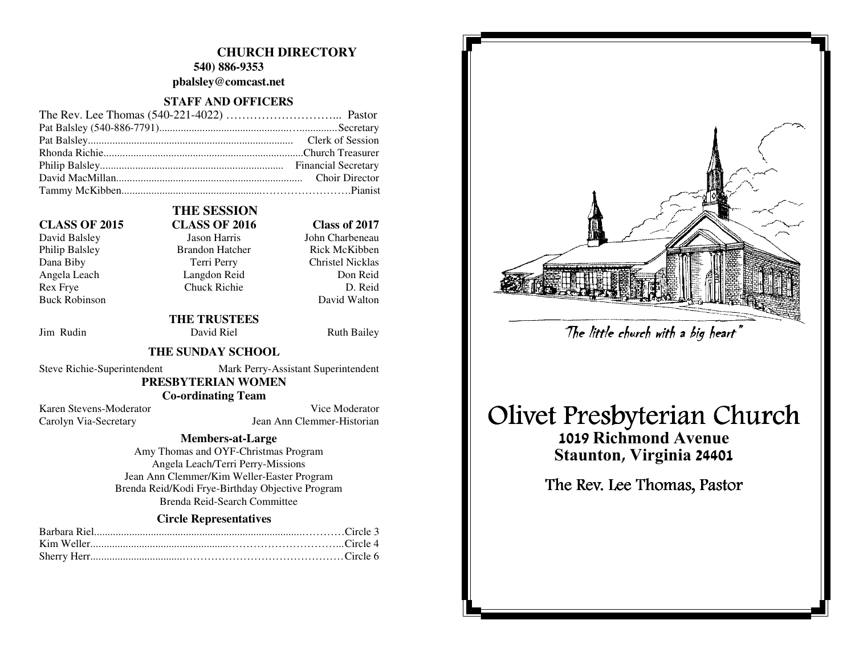## **CHURCH DIRECTORY**

**540) 886-9353 pbalsley@comcast.net** 

#### **STAFF AND OFFICERS**

#### **CLASS OF 2015 CLASS OF 2016 Class of 2017**

David Balsley Jason Harris Philip Balsley Brandon Hatcher Dana Biby Terri Perry Christel Nicklas Angela Leach Langdon Reid Rex Frye Chuck Richie **Buck Robinson** 

# **THE SESSION**

John Charbeneau Rick McKibben Don Reid D. Reid David Walton

Jim Rudin David Riel Ruth Bailey

# **THE SUNDAY SCHOOL**

Steve Richie-Superintendent Mark Perry-Assistant Superintendent

# **PRESBYTERIAN WOMEN**

 **THE TRUSTEES** 

 **Co-ordinating Team** 

Karen Stevens-Moderator Vice Moderator Carolyn Via-Secretary Jean Ann Clemmer-Historian

#### **Members-at-Large**

 Amy Thomas and OYF-Christmas Program Angela Leach/Terri Perry-Missions Jean Ann Clemmer/Kim Weller-Easter Program Brenda Reid/Kodi Frye-Birthday Objective Program Brenda Reid-Search Committee

#### **Circle Representatives**



# Olivet Presbyterian Church

1019 Richmond Avenue Staunton, Virginia 24401 The little church with a big heart"<br>Presbyterian Ch<br>019 Richmond Avenue<br>taunton, Virginia 24401<br>e Rev. Lee Thomas, Pastor

The Rev. Lee Thomas, Pastor